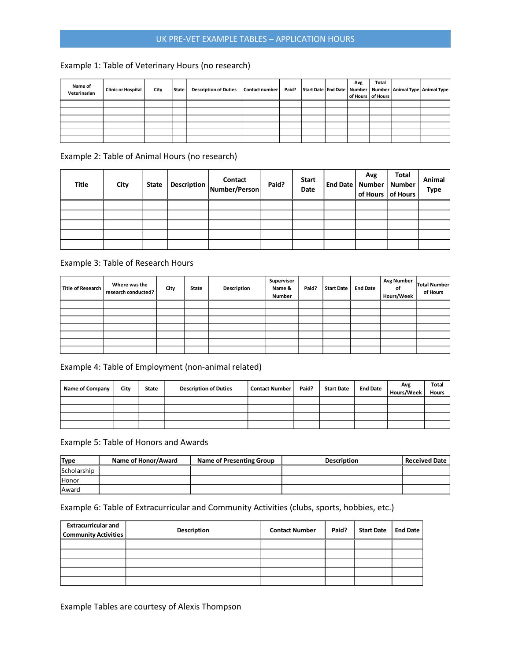# UK PRE-VET EXAMPLE TABLES – APPLICATION HOURS

## Example 1: Table of Veterinary Hours (no research)

| Name of<br>Veterinarian | <b>Clinic or Hospital</b> | City | State | <b>Description of Duties</b> | <b>Contact number</b> | Paid? |  | Avg | Total<br>of Hours of Hours | Start Date End Date Number Number Animal Type Animal Type |
|-------------------------|---------------------------|------|-------|------------------------------|-----------------------|-------|--|-----|----------------------------|-----------------------------------------------------------|
|                         |                           |      |       |                              |                       |       |  |     |                            |                                                           |
|                         |                           |      |       |                              |                       |       |  |     |                            |                                                           |
|                         |                           |      |       |                              |                       |       |  |     |                            |                                                           |
|                         |                           |      |       |                              |                       |       |  |     |                            |                                                           |
|                         |                           |      |       |                              |                       |       |  |     |                            |                                                           |
|                         |                           |      |       |                              |                       |       |  |     |                            |                                                           |

Example 2: Table of Animal Hours (no research)

| Title | City | State | Description | Contact<br>Number/Person | Paid? | <b>Start</b><br>Date | Avg<br>End Date   Number   Number<br>of Hours of Hours | Total | Animal<br>Type |
|-------|------|-------|-------------|--------------------------|-------|----------------------|--------------------------------------------------------|-------|----------------|
|       |      |       |             |                          |       |                      |                                                        |       |                |
|       |      |       |             |                          |       |                      |                                                        |       |                |
|       |      |       |             |                          |       |                      |                                                        |       |                |
|       |      |       |             |                          |       |                      |                                                        |       |                |
|       |      |       |             |                          |       |                      |                                                        |       |                |

#### Example 3: Table of Research Hours

| <b>Title of Research</b> | Where was the<br>research conducted? | City | <b>State</b> | Description | Supervisor<br>Name &<br>Number | Paid? | <b>Start Date</b> | <b>End Date</b> | <b>Avg Number</b><br>οf<br>Hours/Week | Total Number<br>of Hours |
|--------------------------|--------------------------------------|------|--------------|-------------|--------------------------------|-------|-------------------|-----------------|---------------------------------------|--------------------------|
|                          |                                      |      |              |             |                                |       |                   |                 |                                       |                          |
|                          |                                      |      |              |             |                                |       |                   |                 |                                       |                          |
|                          |                                      |      |              |             |                                |       |                   |                 |                                       |                          |
|                          |                                      |      |              |             |                                |       |                   |                 |                                       |                          |
|                          |                                      |      |              |             |                                |       |                   |                 |                                       |                          |
|                          |                                      |      |              |             |                                |       |                   |                 |                                       |                          |
|                          |                                      |      |              |             |                                |       |                   |                 |                                       |                          |

### Example 4: Table of Employment (non-animal related)

| Name of Company | City | <b>State</b> | <b>Description of Duties</b> | <b>Contact Number</b> | Paid? | <b>Start Date</b> | <b>End Date</b> | Avg<br>Hours/Week | <b>Total</b><br><b>Hours</b> |
|-----------------|------|--------------|------------------------------|-----------------------|-------|-------------------|-----------------|-------------------|------------------------------|
|                 |      |              |                              |                       |       |                   |                 |                   |                              |
|                 |      |              |                              |                       |       |                   |                 |                   |                              |
|                 |      |              |                              |                       |       |                   |                 |                   |                              |
|                 |      |              |                              |                       |       |                   |                 |                   |                              |

Example 5: Table of Honors and Awards

| <b>Type</b>  | Name of Honor/Award | <b>Name of Presenting Group</b> | <b>Description</b> | <b>Received Date</b> |
|--------------|---------------------|---------------------------------|--------------------|----------------------|
| Scholarship  |                     |                                 |                    |                      |
| <b>Honor</b> |                     |                                 |                    |                      |
| Award        |                     |                                 |                    |                      |

## Example 6: Table of Extracurricular and Community Activities (clubs, sports, hobbies, etc.)

| <b>Extracurricular and</b><br><b>Community Activities</b> | Description | <b>Contact Number</b> | Paid? | <b>Start Date</b> | <b>End Date</b> |
|-----------------------------------------------------------|-------------|-----------------------|-------|-------------------|-----------------|
|                                                           |             |                       |       |                   |                 |
|                                                           |             |                       |       |                   |                 |
|                                                           |             |                       |       |                   |                 |
|                                                           |             |                       |       |                   |                 |
|                                                           |             |                       |       |                   |                 |